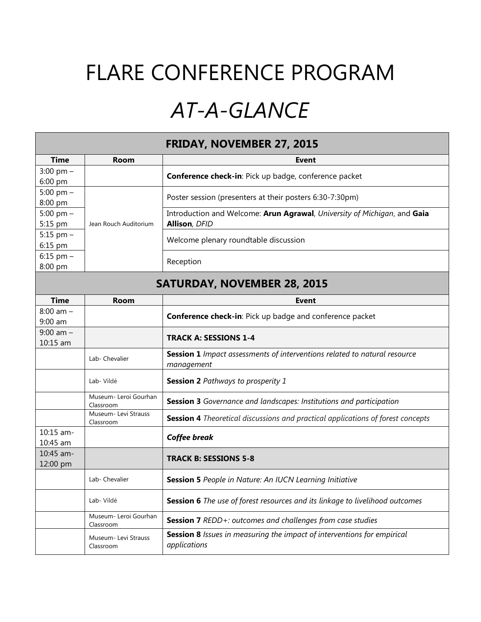## FLARE CONFERENCE PROGRAM

## *AT-A-GLANCE*

| <b>FRIDAY, NOVEMBER 27, 2015</b>   |                                    |                                                                                                |  |  |
|------------------------------------|------------------------------------|------------------------------------------------------------------------------------------------|--|--|
| <b>Time</b>                        | Room                               | <b>Event</b>                                                                                   |  |  |
| $3:00$ pm $-$                      |                                    | Conference check-in: Pick up badge, conference packet                                          |  |  |
| 6:00 pm                            |                                    |                                                                                                |  |  |
| 5:00 pm $-$                        |                                    | Poster session (presenters at their posters 6:30-7:30pm)                                       |  |  |
| 8:00 pm                            |                                    |                                                                                                |  |  |
| 5:00 pm $-$                        |                                    | Introduction and Welcome: Arun Agrawal, University of Michigan, and Gaia                       |  |  |
| 5:15 pm                            | Jean Rouch Auditorium              | <b>Allison, DFID</b>                                                                           |  |  |
| 5:15 pm $-$                        |                                    | Welcome plenary roundtable discussion                                                          |  |  |
| 6:15 pm                            |                                    |                                                                                                |  |  |
| $6:15$ pm $-$                      |                                    | Reception                                                                                      |  |  |
| 8:00 pm                            |                                    |                                                                                                |  |  |
| <b>SATURDAY, NOVEMBER 28, 2015</b> |                                    |                                                                                                |  |  |
| <b>Time</b>                        | Room                               | <b>Event</b>                                                                                   |  |  |
| $8:00$ am $-$                      |                                    | Conference check-in: Pick up badge and conference packet                                       |  |  |
| $9:00$ am                          |                                    |                                                                                                |  |  |
| $9:00$ am $-$                      |                                    | <b>TRACK A: SESSIONS 1-4</b>                                                                   |  |  |
| 10:15 am                           |                                    |                                                                                                |  |  |
|                                    | Lab- Chevalier                     | Session 1 Impact assessments of interventions related to natural resource<br>management        |  |  |
|                                    | Lab- Vildé                         | <b>Session 2</b> Pathways to prosperity 1                                                      |  |  |
|                                    | Museum- Leroi Gourhan<br>Classroom | Session 3 Governance and landscapes: Institutions and participation                            |  |  |
|                                    | Museum- Levi Strauss<br>Classroom  | Session 4 Theoretical discussions and practical applications of forest concepts                |  |  |
| 10:15 am-<br>10:45 am              |                                    | <b>Coffee break</b>                                                                            |  |  |
| $10:45$ am-                        |                                    |                                                                                                |  |  |
| 12:00 pm                           |                                    | <b>TRACK B: SESSIONS 5-8</b>                                                                   |  |  |
|                                    | Lab- Chevalier                     | <b>Session 5</b> People in Nature: An IUCN Learning Initiative                                 |  |  |
|                                    | Lab- Vildé                         | Session 6 The use of forest resources and its linkage to livelihood outcomes                   |  |  |
|                                    | Museum- Leroi Gourhan<br>Classroom | Session 7 REDD+: outcomes and challenges from case studies                                     |  |  |
|                                    | Museum- Levi Strauss<br>Classroom  | <b>Session 8</b> Issues in measuring the impact of interventions for empirical<br>applications |  |  |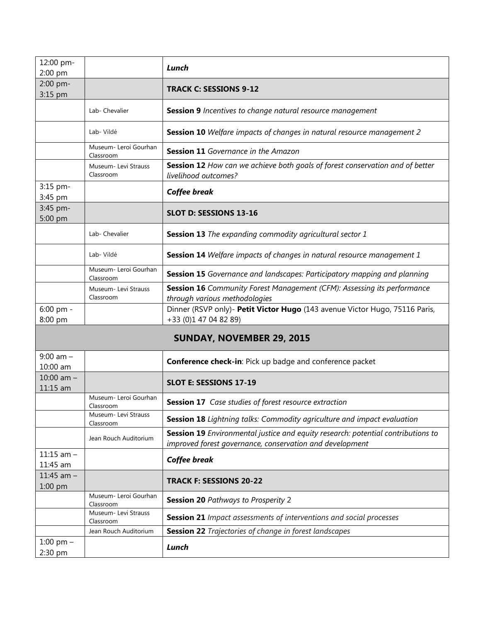| 12:00 pm-<br>2:00 pm             |                                    | Lunch                                                                                                                                        |  |  |
|----------------------------------|------------------------------------|----------------------------------------------------------------------------------------------------------------------------------------------|--|--|
| 2:00 pm-<br>3:15 pm              |                                    | <b>TRACK C: SESSIONS 9-12</b>                                                                                                                |  |  |
|                                  | Lab- Chevalier                     | Session 9 Incentives to change natural resource management                                                                                   |  |  |
|                                  | Lab- Vildé                         | Session 10 Welfare impacts of changes in natural resource management 2                                                                       |  |  |
|                                  | Museum- Leroi Gourhan<br>Classroom | Session 11 Governance in the Amazon                                                                                                          |  |  |
|                                  | Museum- Levi Strauss<br>Classroom  | Session 12 How can we achieve both goals of forest conservation and of better<br>livelihood outcomes?                                        |  |  |
| 3:15 pm-<br>3:45 pm              |                                    | <b>Coffee break</b>                                                                                                                          |  |  |
| 3:45 pm-<br>5:00 pm              |                                    | SLOT D: SESSIONS 13-16                                                                                                                       |  |  |
|                                  | Lab- Chevalier                     | Session 13 The expanding commodity agricultural sector 1                                                                                     |  |  |
|                                  | Lab-Vildé                          | Session 14 Welfare impacts of changes in natural resource management 1                                                                       |  |  |
|                                  | Museum- Leroi Gourhan<br>Classroom | Session 15 Governance and landscapes: Participatory mapping and planning                                                                     |  |  |
|                                  | Museum- Levi Strauss<br>Classroom  | Session 16 Community Forest Management (CFM): Assessing its performance<br>through various methodologies                                     |  |  |
| 6:00 pm -<br>8:00 pm             |                                    | Dinner (RSVP only)- Petit Victor Hugo (143 avenue Victor Hugo, 75116 Paris,<br>+33 (0)1 47 04 82 89)                                         |  |  |
| <b>SUNDAY, NOVEMBER 29, 2015</b> |                                    |                                                                                                                                              |  |  |
| $9:00$ am $-$<br>10:00 am        |                                    | Conference check-in: Pick up badge and conference packet                                                                                     |  |  |
| 10:00 am $-$<br>11:15 am         |                                    | <b>SLOT E: SESSIONS 17-19</b>                                                                                                                |  |  |
|                                  | Museum- Leroi Gourhan<br>Classroom | <b>Session 17</b> Case studies of forest resource extraction                                                                                 |  |  |
|                                  | Museum- Levi Strauss<br>Classroom  | <b>Session 18</b> Lightning talks: Commodity agriculture and impact evaluation                                                               |  |  |
|                                  | Jean Rouch Auditorium              | Session 19 Environmental justice and equity research: potential contributions to<br>improved forest governance, conservation and development |  |  |
| $11:15$ am $-$<br>11:45 am       |                                    | <b>Coffee break</b>                                                                                                                          |  |  |
| 11:45 am $-$<br>$1:00$ pm        |                                    | <b>TRACK F: SESSIONS 20-22</b>                                                                                                               |  |  |
|                                  | Museum- Leroi Gourhan<br>Classroom | <b>Session 20 Pathways to Prosperity 2</b>                                                                                                   |  |  |
|                                  | Museum- Levi Strauss<br>Classroom  | <b>Session 21</b> Impact assessments of interventions and social processes                                                                   |  |  |
|                                  | Jean Rouch Auditorium              | <b>Session 22</b> Trajectories of change in forest landscapes                                                                                |  |  |

1:00 pm – 2:30 pm *Lunch*